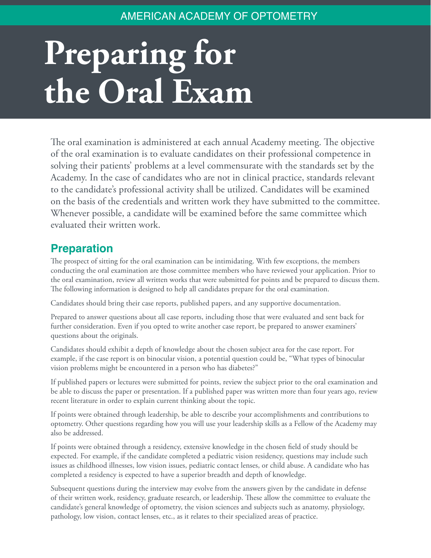## AMERICAN ACADEMY OF OPTOMETRY

## Preparing for **the Oral Exam**

The oral examination is administered at each annual Academy meeting. The objective of the oral examination is to evaluate candidates on their professional competence in solving their patients' problems at a level commensurate with the standards set by the Academy. In the case of candidates who are not in clinical practice, standards relevant to the candidate's professional activity shall be utilized. Candidates will be examined on the basis of the credentials and written work they have submitted to the committee. Whenever possible, a candidate will be examined before the same committee which evaluated their written work.

## **Preparation**

The prospect of sitting for the oral examination can be intimidating. With few exceptions, the members conducting the oral examination are those committee members who have reviewed your application. Prior to the oral examination, review all written works that were submitted for points and be prepared to discuss them. The following information is designed to help all candidates prepare for the oral examination.

Candidates should bring their case reports, published papers, and any supportive documentation.

Prepared to answer questions about all case reports, including those that were evaluated and sent back for further consideration. Even if you opted to write another case report, be prepared to answer examiners' questions about the originals.

Candidates should exhibit a depth of knowledge about the chosen subject area for the case report. For example, if the case report is on binocular vision, a potential question could be, "What types of binocular vision problems might be encountered in a person who has diabetes?"

If published papers or lectures were submitted for points, review the subject prior to the oral examination and be able to discuss the paper or presentation. If a published paper was written more than four years ago, review recent literature in order to explain current thinking about the topic.

If points were obtained through leadership, be able to describe your accomplishments and contributions to optometry. Other questions regarding how you will use your leadership skills as a Fellow of the Academy may also be addressed.

If points were obtained through a residency, extensive knowledge in the chosen field of study should be expected. For example, if the candidate completed a pediatric vision residency, questions may include such issues as childhood illnesses, low vision issues, pediatric contact lenses, or child abuse. A candidate who has completed a residency is expected to have a superior breadth and depth of knowledge.

Subsequent questions during the interview may evolve from the answers given by the candidate in defense of their written work, residency, graduate research, or leadership. These allow the committee to evaluate the candidate's general knowledge of optometry, the vision sciences and subjects such as anatomy, physiology, pathology, low vision, contact lenses, etc., as it relates to their specialized areas of practice.